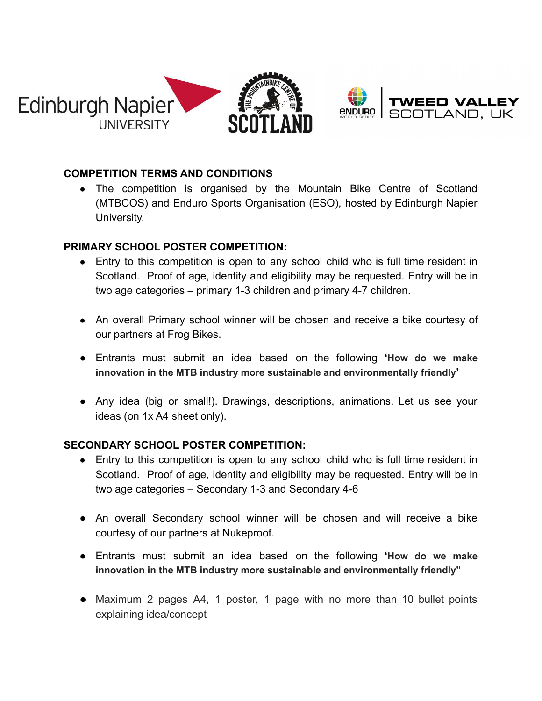



## **COMPETITION TERMS AND CONDITIONS**

• The competition is organised by the Mountain Bike Centre of Scotland (MTBCOS) and Enduro Sports Organisation (ESO), hosted by Edinburgh Napier University.

## **PRIMARY SCHOOL POSTER COMPETITION:**

- Entry to this competition is open to any school child who is full time resident in Scotland. Proof of age, identity and eligibility may be requested. Entry will be in two age categories – primary 1-3 children and primary 4-7 children.
- An overall Primary school winner will be chosen and receive a bike courtesy of our partners at Frog Bikes.
- Entrants must submit an idea based on the following **'How do we make innovation in the MTB industry more sustainable and environmentally friendly'**
- Any idea (big or small!). Drawings, descriptions, animations. Let us see your ideas (on 1x A4 sheet only).

## **SECONDARY SCHOOL POSTER COMPETITION:**

- Entry to this competition is open to any school child who is full time resident in Scotland. Proof of age, identity and eligibility may be requested. Entry will be in two age categories – Secondary 1-3 and Secondary 4-6
- An overall Secondary school winner will be chosen and will receive a bike courtesy of our partners at Nukeproof.
- Entrants must submit an idea based on the following **'How do we make innovation in the MTB industry more sustainable and environmentally friendly"**
- Maximum 2 pages A4, 1 poster, 1 page with no more than 10 bullet points explaining idea/concept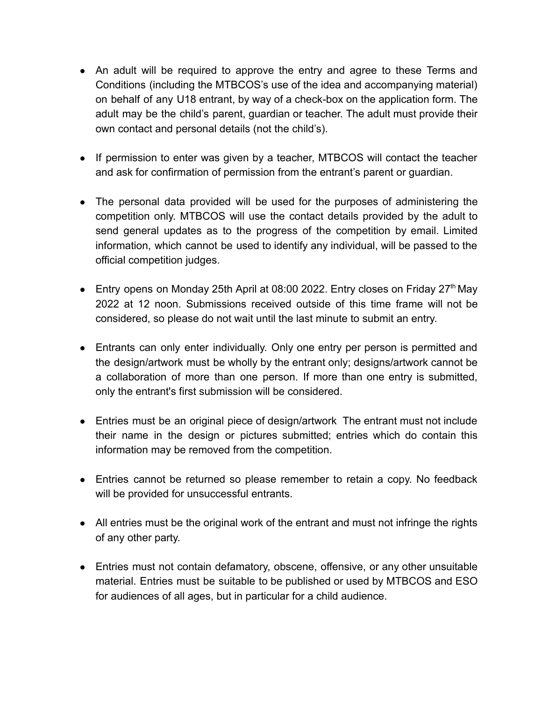- An adult will be required to approve the entry and agree to these Terms and Conditions (including the MTBCOS's use of the idea and accompanying material) on behalf of any U18 entrant, by way of a check-box on the application form. The adult may be the child's parent, guardian or teacher. The adult must provide their own contact and personal details (not the child's).
- If permission to enter was given by a teacher, MTBCOS will contact the teacher and ask for confirmation of permission from the entrant's parent or guardian.
- The personal data provided will be used for the purposes of administering the competition only. MTBCOS will use the contact details provided by the adult to send general updates as to the progress of the competition by email. Limited information, which cannot be used to identify any individual, will be passed to the official competition judges.
- **Entry opens on Monday 25th April at 08:00 2022. Entry closes on Friday 27<sup>th</sup> May** 2022 at 12 noon. Submissions received outside of this time frame will not be considered, so please do not wait until the last minute to submit an entry.
- Entrants can only enter individually. Only one entry per person is permitted and the design/artwork must be wholly by the entrant only; designs/artwork cannot be a collaboration of more than one person. If more than one entry is submitted, only the entrant's first submission will be considered.
- Entries must be an original piece of design/artwork The entrant must not include their name in the design or pictures submitted; entries which do contain this information may be removed from the competition.
- Entries cannot be returned so please remember to retain a copy. No feedback will be provided for unsuccessful entrants.
- All entries must be the original work of the entrant and must not infringe the rights of any other party.
- Entries must not contain defamatory, obscene, offensive, or any other unsuitable material. Entries must be suitable to be published or used by MTBCOS and ESO for audiences of all ages, but in particular for a child audience.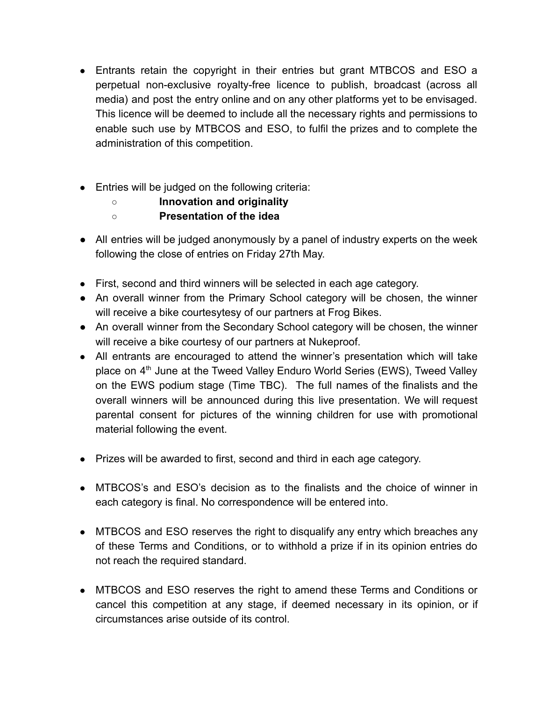- Entrants retain the copyright in their entries but grant MTBCOS and ESO a perpetual non-exclusive royalty-free licence to publish, broadcast (across all media) and post the entry online and on any other platforms yet to be envisaged. This licence will be deemed to include all the necessary rights and permissions to enable such use by MTBCOS and ESO, to fulfil the prizes and to complete the administration of this competition.
- Entries will be judged on the following criteria:
	- **Innovation and originality**
	- **Presentation of the idea**
- All entries will be judged anonymously by a panel of industry experts on the week following the close of entries on Friday 27th May.
- First, second and third winners will be selected in each age category.
- An overall winner from the Primary School category will be chosen, the winner will receive a bike courtesytesy of our partners at Frog Bikes.
- An overall winner from the Secondary School category will be chosen, the winner will receive a bike courtesy of our partners at Nukeproof.
- All entrants are encouraged to attend the winner's presentation which will take place on 4<sup>th</sup> June at the Tweed Valley Enduro World Series (EWS), Tweed Valley on the EWS podium stage (Time TBC). The full names of the finalists and the overall winners will be announced during this live presentation. We will request parental consent for pictures of the winning children for use with promotional material following the event.
- Prizes will be awarded to first, second and third in each age category.
- MTBCOS's and ESO's decision as to the finalists and the choice of winner in each category is final. No correspondence will be entered into.
- MTBCOS and ESO reserves the right to disqualify any entry which breaches any of these Terms and Conditions, or to withhold a prize if in its opinion entries do not reach the required standard.
- MTBCOS and ESO reserves the right to amend these Terms and Conditions or cancel this competition at any stage, if deemed necessary in its opinion, or if circumstances arise outside of its control.